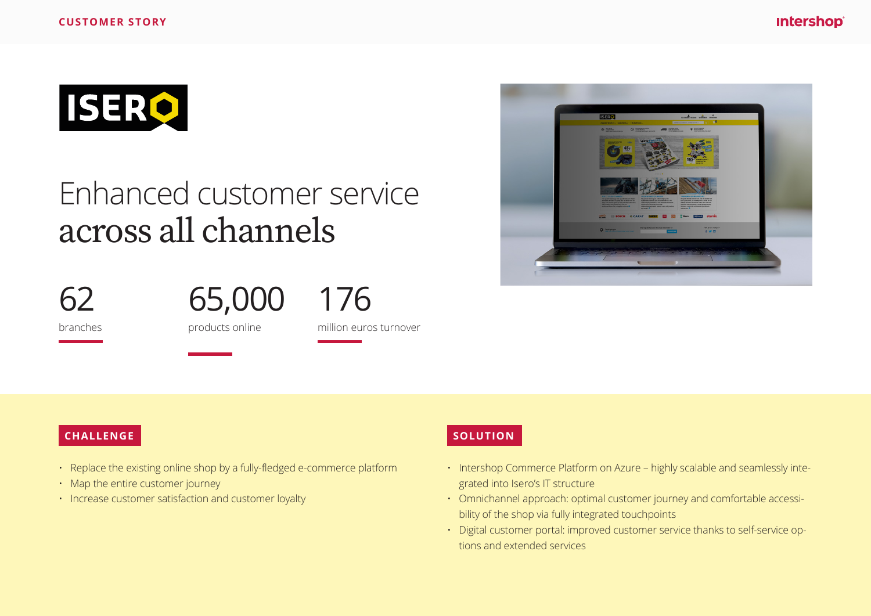

# Enhanced customer service across all channels



65,000

176

branches

products online





#### **CHALLENGE**

- Replace the existing online shop by a fully-fledged e-commerce platform
- Map the entire customer journey
- Increase customer satisfaction and customer loyalty

#### **SOLUTION**

- Intershop Commerce Platform on Azure highly scalable and seamlessly integrated into Isero's IT structure
- Omnichannel approach: optimal customer journey and comfortable accessibility of the shop via fully integrated touchpoints
- Digital customer portal: improved customer service thanks to self-service options and extended services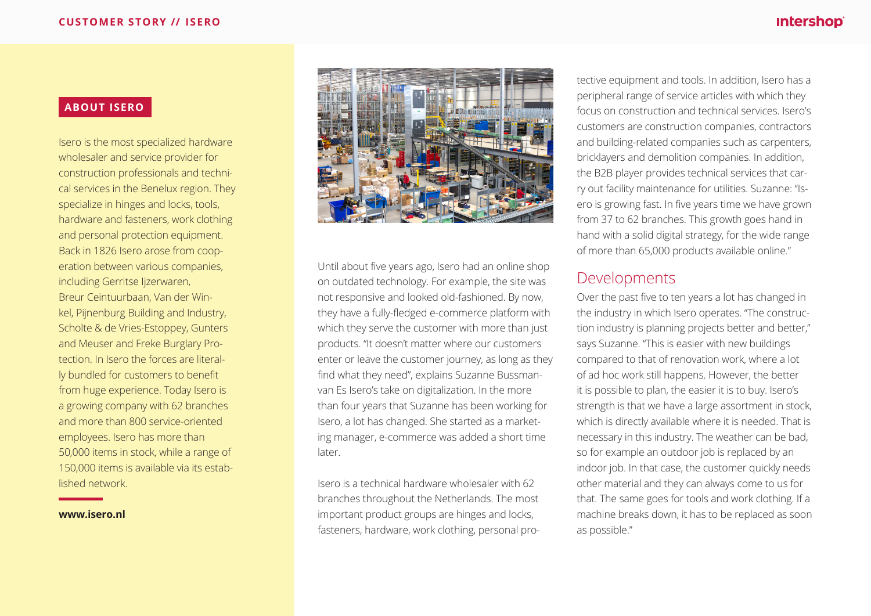#### **intershop**®

#### **ABOUT ISERO**

Isero is the most specialized hardware wholesaler and service provider for construction professionals and technical services in the Benelux region. They specialize in hinges and locks, tools, hardware and fasteners, work clothing and personal protection equipment. Back in 1826 Isero arose from cooperation between various companies, including Gerritse Ijzerwaren, Breur Ceintuurbaan, Van der Winkel, Pijnenburg Building and Industry, Scholte & de Vries-Estoppey, Gunters and Meuser and Freke Burglary Protection. In Isero the forces are literally bundled for customers to benefit from huge experience. Today Isero is a growing company with 62 branches and more than 800 service-oriented employees. Isero has more than 50,000 items in stock, while a range of 150,000 items is available via its established network.

**www.isero.nl**



Until about five years ago, Isero had an online shop on outdated technology. For example, the site was not responsive and looked old-fashioned. By now, they have a fully-fledged e-commerce platform with which they serve the customer with more than just products. "It doesn't matter where our customers enter or leave the customer journey, as long as they find what they need", explains Suzanne Bussmanvan Es Isero's take on digitalization. In the more than four years that Suzanne has been working for Isero, a lot has changed. She started as a marketing manager, e-commerce was added a short time later.

Isero is a technical hardware wholesaler with 62 branches throughout the Netherlands. The most important product groups are hinges and locks, fasteners, hardware, work clothing, personal pro-

tective equipment and tools. In addition, Isero has a peripheral range of service articles with which they focus on construction and technical services. Isero's customers are construction companies, contractors and building-related companies such as carpenters, bricklayers and demolition companies. In addition, the B2B player provides technical services that carry out facility maintenance for utilities. Suzanne: "Isero is growing fast. In five years time we have grown from 37 to 62 branches. This growth goes hand in hand with a solid digital strategy, for the wide range of more than 65,000 products available online."

#### Developments

Over the past five to ten years a lot has changed in the industry in which Isero operates. "The construction industry is planning projects better and better," says Suzanne. "This is easier with new buildings compared to that of renovation work, where a lot of ad hoc work still happens. However, the better it is possible to plan, the easier it is to buy. Isero's strength is that we have a large assortment in stock, which is directly available where it is needed. That is necessary in this industry. The weather can be bad, so for example an outdoor job is replaced by an indoor job. In that case, the customer quickly needs other material and they can always come to us for that. The same goes for tools and work clothing. If a machine breaks down, it has to be replaced as soon as possible."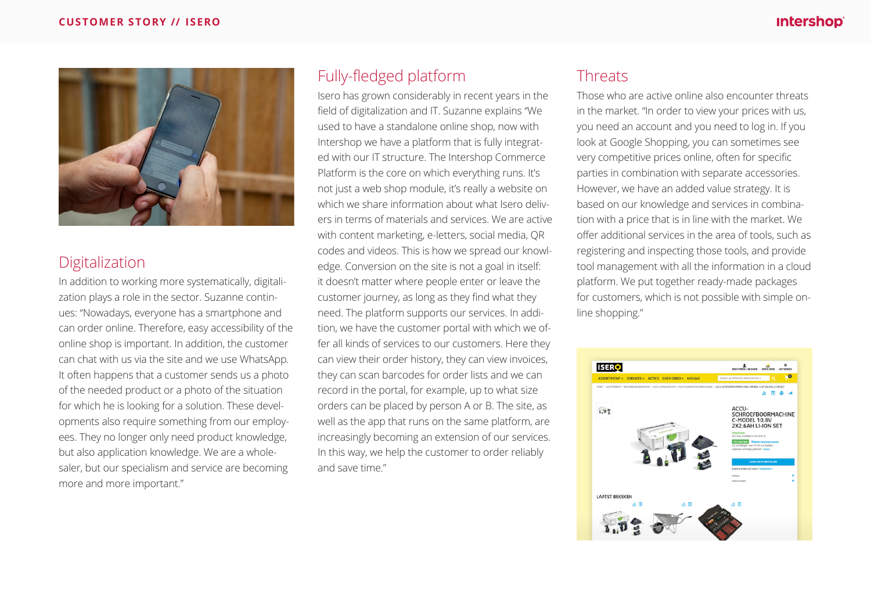

## Digitalization

In addition to working more systematically, digitalization plays a role in the sector. Suzanne continues: "Nowadays, everyone has a smartphone and can order online. Therefore, easy accessibility of the online shop is important. In addition, the customer can chat with us via the site and we use WhatsApp. It often happens that a customer sends us a photo of the needed product or a photo of the situation for which he is looking for a solution. These developments also require something from our employees. They no longer only need product knowledge, but also application knowledge. We are a wholesaler, but our specialism and service are becoming more and more important."

## Fully-fledged platform

Isero has grown considerably in recent years in the field of digitalization and IT. Suzanne explains "We used to have a standalone online shop, now with Intershop we have a platform that is fully integrated with our IT structure. The Intershop Commerce Platform is the core on which everything runs. It's not just a web shop module, it's really a website on which we share information about what Isero delivers in terms of materials and services. We are active with content marketing, e-letters, social media, QR codes and videos. This is how we spread our knowledge. Conversion on the site is not a goal in itself: it doesn't matter where people enter or leave the customer journey, as long as they find what they need. The platform supports our services. In addition, we have the customer portal with which we offer all kinds of services to our customers. Here they can view their order history, they can view invoices, they can scan barcodes for order lists and we can record in the portal, for example, up to what size orders can be placed by person A or B. The site, as well as the app that runs on the same platform, are increasingly becoming an extension of our services. In this way, we help the customer to order reliably and save time."

## **Threats**

Those who are active online also encounter threats in the market. "In order to view your prices with us, you need an account and you need to log in. If you look at Google Shopping, you can sometimes see very competitive prices online, often for specific parties in combination with separate accessories. However, we have an added value strategy. It is based on our knowledge and services in combination with a price that is in line with the market. We offer additional services in the area of tools, such as registering and inspecting those tools, and provide tool management with all the information in a cloud platform. We put together ready-made packages for customers, which is not possible with simple online shopping."

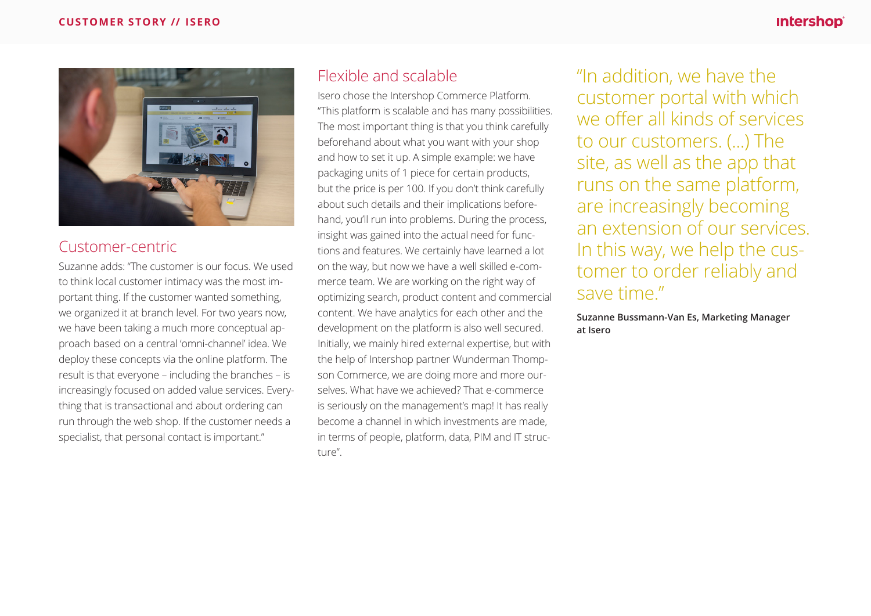

## Customer-centric

Suzanne adds: "The customer is our focus. We used to think local customer intimacy was the most important thing. If the customer wanted something, we organized it at branch level. For two years now, we have been taking a much more conceptual approach based on a central 'omni-channel' idea. We deploy these concepts via the online platform. The result is that everyone – including the branches – is increasingly focused on added value services. Everything that is transactional and about ordering can run through the web shop. If the customer needs a specialist, that personal contact is important."

## Flexible and scalable

Isero chose the Intershop Commerce Platform. "This platform is scalable and has many possibilities. The most important thing is that you think carefully beforehand about what you want with your shop and how to set it up. A simple example: we have packaging units of 1 piece for certain products, but the price is per 100. If you don't think carefully about such details and their implications beforehand, you'll run into problems. During the process, insight was gained into the actual need for functions and features. We certainly have learned a lot on the way, but now we have a well skilled e-commerce team. We are working on the right way of optimizing search, product content and commercial content. We have analytics for each other and the development on the platform is also well secured. Initially, we mainly hired external expertise, but with the help of Intershop partner Wunderman Thompson Commerce, we are doing more and more ourselves. What have we achieved? That e-commerce is seriously on the management's map! It has really become a channel in which investments are made, in terms of people, platform, data, PIM and IT structure".

"In addition, we have the customer portal with which we offer all kinds of services to our customers. (...) The site, as well as the app that runs on the same platform, are increasingly becoming an extension of our services. In this way, we help the customer to order reliably and save time."

**Suzanne Bussmann-Van Es, Marketing Manager at Isero**